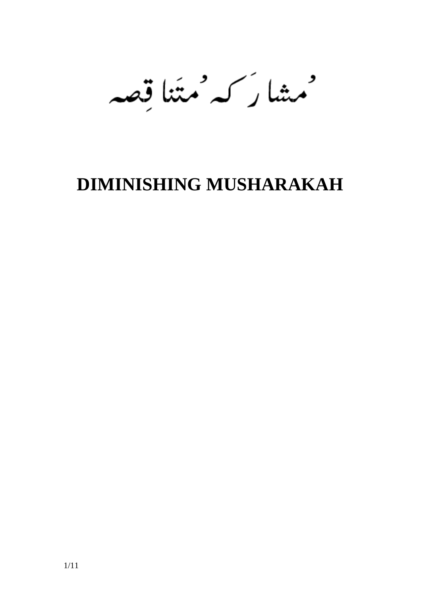مهشا رسمه متئنا قصه

# **DIMINISHING MUSHARAKAH**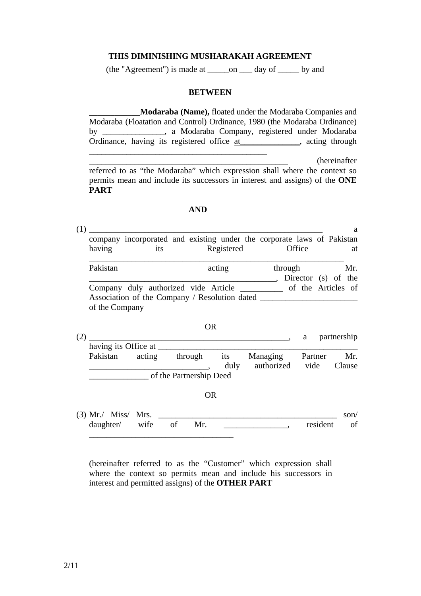#### **THIS DIMINISHING MUSHARAKAH AGREEMENT**

(the "Agreement") is made at \_\_\_\_\_on \_\_\_ day of \_\_\_\_\_ by and

#### **BETWEEN**

**\_\_\_\_\_\_\_\_\_\_\_\_Modaraba (Name),** floated under the Modaraba Companies and Modaraba (Floatation and Control) Ordinance, 1980 (the Modaraba Ordinance) by \_\_\_\_\_\_\_\_\_\_\_\_\_\_\_, a Modaraba Company, registered under Modaraba Ordinance, having its registered office at \_\_\_\_\_\_\_\_\_, acting through \_\_\_\_\_\_\_\_\_\_\_\_\_\_\_\_\_\_\_\_\_\_\_\_\_\_\_\_\_\_\_\_\_\_\_\_\_\_\_\_\_\_\_

\_\_\_\_\_\_\_\_\_\_\_\_\_\_\_\_\_\_\_\_\_\_\_\_\_\_\_\_\_\_\_\_\_\_\_\_\_\_\_\_\_\_\_\_\_\_\_\_ (hereinafter referred to as "the Modaraba" which expression shall where the context so permits mean and include its successors in interest and assigns) of the **ONE PART** 

#### **AND**

| (1) | having                                                                                                     | its |  | company incorporated and existing under the corporate laws of Pakistan<br>Registered | Office                         | a<br>at |  |
|-----|------------------------------------------------------------------------------------------------------------|-----|--|--------------------------------------------------------------------------------------|--------------------------------|---------|--|
|     | Pakistan                                                                                                   |     |  | acting                                                                               | through<br>Director (s) of the | Mr.     |  |
|     | Company duly authorized vide Article<br>Association of the Company / Resolution dated __<br>of the Company |     |  |                                                                                      | of the Articles of             |         |  |

| (2) | UK.                  |        |                         |                 |            |         | partnership |  |
|-----|----------------------|--------|-------------------------|-----------------|------------|---------|-------------|--|
|     | having its Office at |        |                         |                 |            |         |             |  |
|     | Pakistan             | acting | through                 | <sub>1</sub> ts | Managing   | Partner | Mr.         |  |
|     |                      |        |                         | duly            | authorized | vide    | Clause      |  |
|     |                      |        | of the Partnership Deed |                 |            |         |             |  |

 $\Omega$ 

OR

| $(3)$ Mr./ Miss/ Mrs. |  |                   |     |             | son/ |
|-----------------------|--|-------------------|-----|-------------|------|
|                       |  | daughter/ wife of | Mr. | resident of |      |
|                       |  |                   |     |             |      |

(hereinafter referred to as the "Customer" which expression shall where the context so permits mean and include his successors in interest and permitted assigns) of the **OTHER PART**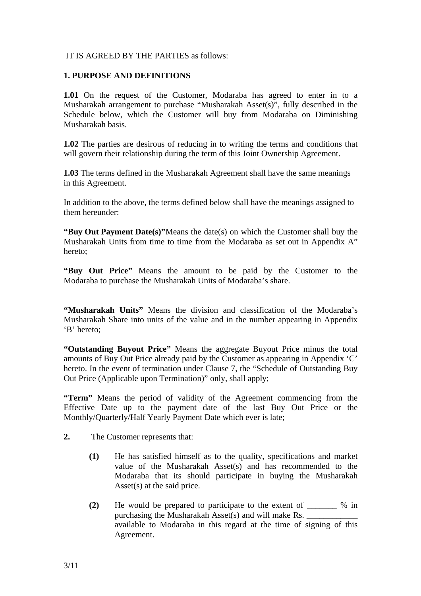## IT IS AGREED BY THE PARTIES as follows:

#### **1. PURPOSE AND DEFINITIONS**

**1.01** On the request of the Customer, Modaraba has agreed to enter in to a Musharakah arrangement to purchase "Musharakah Asset(s)", fully described in the Schedule below, which the Customer will buy from Modaraba on Diminishing Musharakah basis.

**1.02** The parties are desirous of reducing in to writing the terms and conditions that will govern their relationship during the term of this Joint Ownership Agreement.

**1.03** The terms defined in the Musharakah Agreement shall have the same meanings in this Agreement.

In addition to the above, the terms defined below shall have the meanings assigned to them hereunder:

**"Buy Out Payment Date(s)"** Means the date(s) on which the Customer shall buy the Musharakah Units from time to time from the Modaraba as set out in Appendix A" hereto;

**"Buy Out Price"** Means the amount to be paid by the Customer to the Modaraba to purchase the Musharakah Units of Modaraba's share.

**"Musharakah Units"** Means the division and classification of the Modaraba's Musharakah Share into units of the value and in the number appearing in Appendix 'B' hereto;

**"Outstanding Buyout Price"** Means the aggregate Buyout Price minus the total amounts of Buy Out Price already paid by the Customer as appearing in Appendix 'C' hereto. In the event of termination under Clause 7, the "Schedule of Outstanding Buy Out Price (Applicable upon Termination)" only, shall apply;

**"Term"** Means the period of validity of the Agreement commencing from the Effective Date up to the payment date of the last Buy Out Price or the Monthly/Quarterly/Half Yearly Payment Date which ever is late;

- **2.** The Customer represents that:
	- **(1)** He has satisfied himself as to the quality, specifications and market value of the Musharakah Asset(s) and has recommended to the Modaraba that its should participate in buying the Musharakah Asset(s) at the said price.
	- **(2)** He would be prepared to participate to the extent of \_\_\_\_\_\_\_ % in purchasing the Musharakah Asset $(s)$  and will make Rs. available to Modaraba in this regard at the time of signing of this Agreement.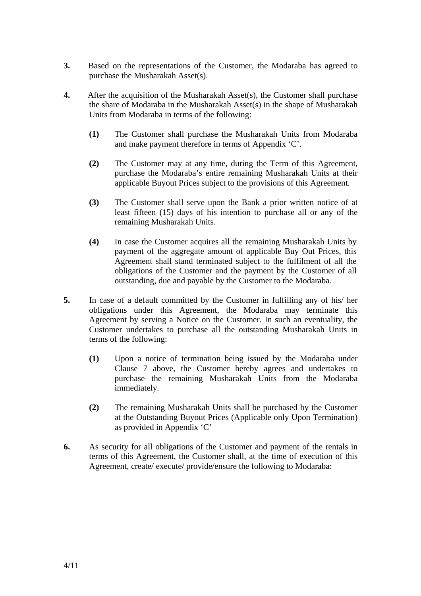- **3.** Based on the representations of the Customer, the Modaraba has agreed to purchase the Musharakah Asset(s).
- **4.** After the acquisition of the Musharakah Asset(s), the Customer shall purchase the share of Modaraba in the Musharakah Asset(s) in the shape of Musharakah Units from Modaraba in terms of the following:
	- **(1)** The Customer shall purchase the Musharakah Units from Modaraba and make payment therefore in terms of Appendix 'C'.
	- **(2)** The Customer may at any time, during the Term of this Agreement, purchase the Modaraba's entire remaining Musharakah Units at their applicable Buyout Prices subject to the provisions of this Agreement.
	- **(3)** The Customer shall serve upon the Bank a prior written notice of at least fifteen (15) days of his intention to purchase all or any of the remaining Musharakah Units.
	- **(4)** In case the Customer acquires all the remaining Musharakah Units by payment of the aggregate amount of applicable Buy Out Prices, this Agreement shall stand terminated subject to the fulfilment of all the obligations of the Customer and the payment by the Customer of all outstanding, due and payable by the Customer to the Modaraba.
- **5.** In case of a default committed by the Customer in fulfilling any of his/ her obligations under this Agreement, the Modaraba may terminate this Agreement by serving a Notice on the Customer. In such an eventuality, the Customer undertakes to purchase all the outstanding Musharakah Units in terms of the following:
	- **(1)** Upon a notice of termination being issued by the Modaraba under Clause 7 above, the Customer hereby agrees and undertakes to purchase the remaining Musharakah Units from the Modaraba immediately.
	- **(2)** The remaining Musharakah Units shall be purchased by the Customer at the Outstanding Buyout Prices (Applicable only Upon Termination) as provided in Appendix 'C'
- **6.** As security for all obligations of the Customer and payment of the rentals in terms of this Agreement, the Customer shall, at the time of execution of this Agreement, create/ execute/ provide/ensure the following to Modaraba: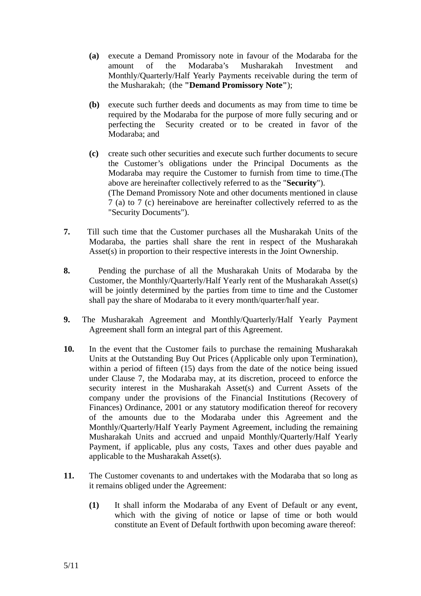- **(a)** execute a Demand Promissory note in favour of the Modaraba for the amount of the Modaraba's Musharakah Investment and Monthly/Quarterly/Half Yearly Payments receivable during the term of the Musharakah; (the **"Demand Promissory Note"**);
- **(b)** execute such further deeds and documents as may from time to time be required by the Modaraba for the purpose of more fully securing and or perfecting the Security created or to be created in favor of the Modaraba; and
- **(c)** create such other securities and execute such further documents to secure the Customer's obligations under the Principal Documents as the Modaraba may require the Customer to furnish from time to time.(The above are hereinafter collectively referred to as the "**Security**"). (The Demand Promissory Note and other documents mentioned in clause 7 (a) to 7 (c) hereinabove are hereinafter collectively referred to as the "Security Documents").
- **7.** Till such time that the Customer purchases all the Musharakah Units of the Modaraba, the parties shall share the rent in respect of the Musharakah Asset(s) in proportion to their respective interests in the Joint Ownership.
- **8.** Pending the purchase of all the Musharakah Units of Modaraba by the Customer, the Monthly/Quarterly/Half Yearly rent of the Musharakah Asset(s) will be jointly determined by the parties from time to time and the Customer shall pay the share of Modaraba to it every month/quarter/half year.
- **9.** The Musharakah Agreement and Monthly/Quarterly/Half Yearly Payment Agreement shall form an integral part of this Agreement.
- **10.** In the event that the Customer fails to purchase the remaining Musharakah Units at the Outstanding Buy Out Prices (Applicable only upon Termination), within a period of fifteen (15) days from the date of the notice being issued under Clause 7, the Modaraba may, at its discretion, proceed to enforce the security interest in the Musharakah Asset(s) and Current Assets of the company under the provisions of the Financial Institutions (Recovery of Finances) Ordinance, 2001 or any statutory modification thereof for recovery of the amounts due to the Modaraba under this Agreement and the Monthly/Quarterly/Half Yearly Payment Agreement, including the remaining Musharakah Units and accrued and unpaid Monthly/Quarterly/Half Yearly Payment, if applicable, plus any costs, Taxes and other dues payable and applicable to the Musharakah Asset(s).
- **11.** The Customer covenants to and undertakes with the Modaraba that so long as it remains obliged under the Agreement:
	- **(1)** It shall inform the Modaraba of any Event of Default or any event, which with the giving of notice or lapse of time or both would constitute an Event of Default forthwith upon becoming aware thereof: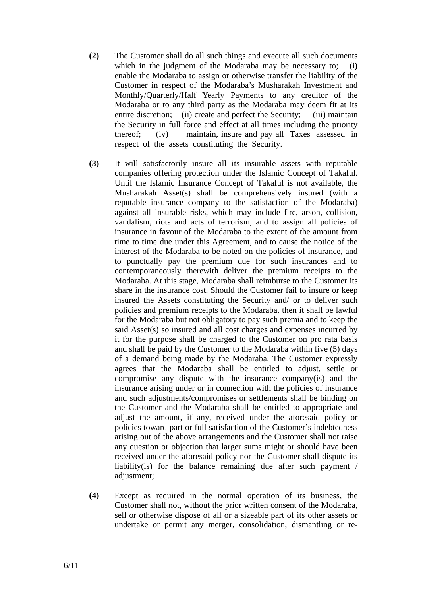- **(2)** The Customer shall do all such things and execute all such documents which in the judgment of the Modaraba may be necessary to; (i**)** enable the Modaraba to assign or otherwise transfer the liability of the Customer in respect of the Modaraba's Musharakah Investment and Monthly/Quarterly/Half Yearly Payments to any creditor of the Modaraba or to any third party as the Modaraba may deem fit at its entire discretion; (ii) create and perfect the Security; (iii) maintain the Security in full force and effect at all times including the priority thereof; (iv) maintain, insure and pay all Taxes assessed in respect of the assets constituting the Security.
- **(3)** It will satisfactorily insure all its insurable assets with reputable companies offering protection under the Islamic Concept of Takaful. Until the Islamic Insurance Concept of Takaful is not available, the Musharakah Asset(s) shall be comprehensively insured (with a reputable insurance company to the satisfaction of the Modaraba) against all insurable risks, which may include fire, arson, collision, vandalism, riots and acts of terrorism, and to assign all policies of insurance in favour of the Modaraba to the extent of the amount from time to time due under this Agreement, and to cause the notice of the interest of the Modaraba to be noted on the policies of insurance, and to punctually pay the premium due for such insurances and to contemporaneously therewith deliver the premium receipts to the Modaraba. At this stage, Modaraba shall reimburse to the Customer its share in the insurance cost. Should the Customer fail to insure or keep insured the Assets constituting the Security and/ or to deliver such policies and premium receipts to the Modaraba, then it shall be lawful for the Modaraba but not obligatory to pay such premia and to keep the said Asset(s) so insured and all cost charges and expenses incurred by it for the purpose shall be charged to the Customer on pro rata basis and shall be paid by the Customer to the Modaraba within five (5) days of a demand being made by the Modaraba. The Customer expressly agrees that the Modaraba shall be entitled to adjust, settle or compromise any dispute with the insurance company(is) and the insurance arising under or in connection with the policies of insurance and such adjustments/compromises or settlements shall be binding on the Customer and the Modaraba shall be entitled to appropriate and adjust the amount, if any, received under the aforesaid policy or policies toward part or full satisfaction of the Customer's indebtedness arising out of the above arrangements and the Customer shall not raise any question or objection that larger sums might or should have been received under the aforesaid policy nor the Customer shall dispute its liability(is) for the balance remaining due after such payment / adjustment;
- **(4)** Except as required in the normal operation of its business, the Customer shall not, without the prior written consent of the Modaraba, sell or otherwise dispose of all or a sizeable part of its other assets or undertake or permit any merger, consolidation, dismantling or re-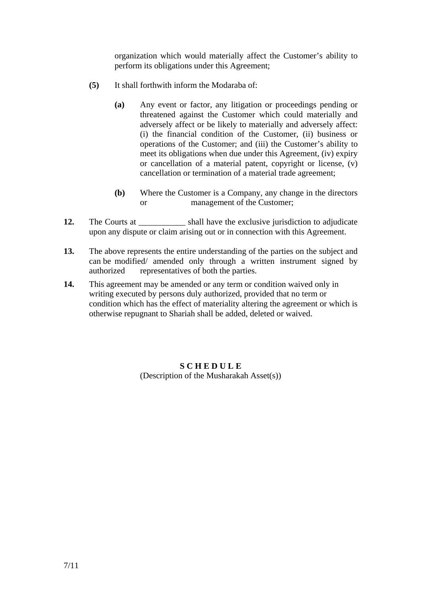organization which would materially affect the Customer's ability to perform its obligations under this Agreement;

- **(5)** It shall forthwith inform the Modaraba of:
	- **(a)** Any event or factor, any litigation or proceedings pending or threatened against the Customer which could materially and adversely affect or be likely to materially and adversely affect: (i) the financial condition of the Customer, (ii) business or operations of the Customer; and (iii) the Customer's ability to meet its obligations when due under this Agreement, (iv) expiry or cancellation of a material patent, copyright or license, (v) cancellation or termination of a material trade agreement;
	- **(b)** Where the Customer is a Company, any change in the directors or management of the Customer;
- **12.** The Courts at  $\qquad$  shall have the exclusive jurisdiction to adjudicate upon any dispute or claim arising out or in connection with this Agreement.
- **13.** The above represents the entire understanding of the parties on the subject and can be modified/ amended only through a written instrument signed by authorized representatives of both the parties.
- 14. This agreement may be amended or any term or condition waived only in writing executed by persons duly authorized, provided that no term or condition which has the effect of materiality altering the agreement or which is otherwise repugnant to Shariah shall be added, deleted or waived.

## **S C H E D U L E**  (Description of the Musharakah Asset(s))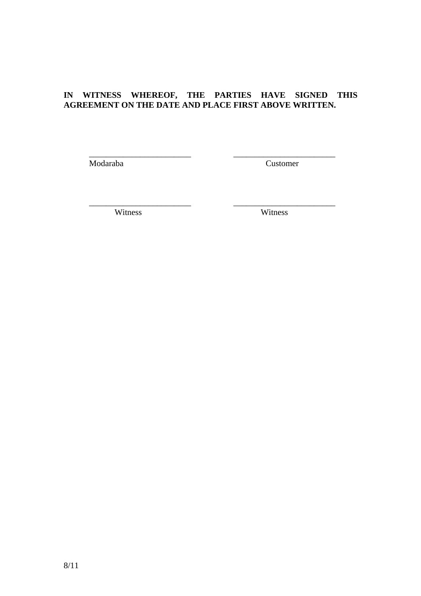# **IN WITNESS WHEREOF, THE PARTIES HAVE SIGNED THIS AGREEMENT ON THE DATE AND PLACE FIRST ABOVE WRITTEN.**

 $\overline{\phantom{a}}$  ,  $\overline{\phantom{a}}$  ,  $\overline{\phantom{a}}$  ,  $\overline{\phantom{a}}$  ,  $\overline{\phantom{a}}$  ,  $\overline{\phantom{a}}$  ,  $\overline{\phantom{a}}$  ,  $\overline{\phantom{a}}$  ,  $\overline{\phantom{a}}$  ,  $\overline{\phantom{a}}$  ,  $\overline{\phantom{a}}$  ,  $\overline{\phantom{a}}$  ,  $\overline{\phantom{a}}$  ,  $\overline{\phantom{a}}$  ,  $\overline{\phantom{a}}$  ,  $\overline{\phantom{a}}$ 

 $\overline{\phantom{a}}$  ,  $\overline{\phantom{a}}$  ,  $\overline{\phantom{a}}$  ,  $\overline{\phantom{a}}$  ,  $\overline{\phantom{a}}$  ,  $\overline{\phantom{a}}$  ,  $\overline{\phantom{a}}$  ,  $\overline{\phantom{a}}$  ,  $\overline{\phantom{a}}$  ,  $\overline{\phantom{a}}$  ,  $\overline{\phantom{a}}$  ,  $\overline{\phantom{a}}$  ,  $\overline{\phantom{a}}$  ,  $\overline{\phantom{a}}$  ,  $\overline{\phantom{a}}$  ,  $\overline{\phantom{a}}$ 

Modaraba Customer

Witness Witness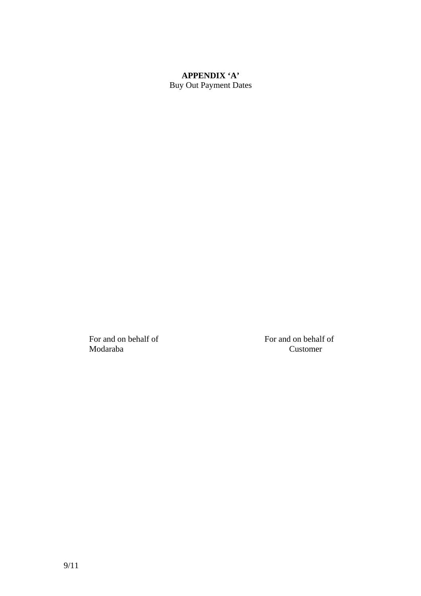# **APPENDIX 'A'**

Buy Out Payment Dates

Modaraba Customer

For and on behalf of For and on behalf of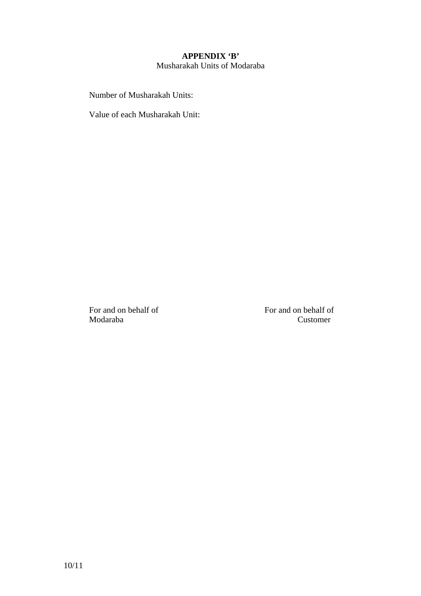### **APPENDIX 'B'**  Musharakah Units of Modaraba

Number of Musharakah Units:

Value of each Musharakah Unit:

For and on behalf of For and on behalf of Modaraba Customer